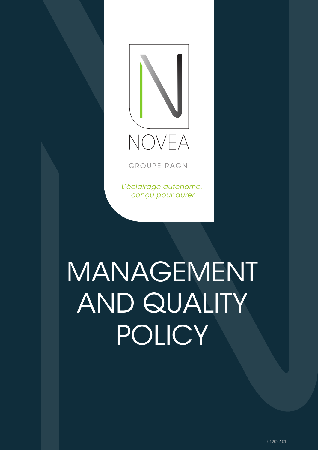

**GROUPE RAGNI** 

L'éclairage autonome, conçu pour durer

# MANAGEMENT AND QUALITY POLICY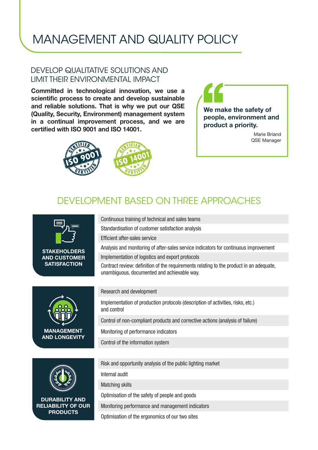# MANAGEMENT AND QUALITY POLICY

#### DEVELOP QUALITATIVE SOLUTIONS AND LIMIT THEIR ENVIRONMENTAL IMPACT

Committed in technological innovation, we use a scientific process to create and develop sustainable and reliable solutions. That is why we put our QSE (Quality, Security, Environment) management system in a continual improvement process, and we are certified with ISO 9001 and ISO 14001.





Marie Briand QSE Manager

### DEVELOPMENT BASED ON THREE APPROACHES

Continuous training of technical and sales teams Standardisation of customer satisfaction analysis



**STAKEHOLDERS** AND CUSTOMER **SATISFACTION** 





DURABILITY AND RELIABILITY OF OUR PRODUCTS

#### Implementation of logistics and export protocols

Contract review: definition of the requirements relating to the product in an adequate, unambiguous, documented and achievable way.

Analysis and monitoring of after-sales service indicators for continuous improvement

#### Research and development

Efficient after-sales service

Implementation of production protocols (description of activities, risks, etc.) and control

Control of non-compliant products and corrective actions (analysis of failure)

Monitoring of performance indicators

Control of the information system

Risk and opportunity analysis of the public lighting market

Internal audit

Matching skills

Optimisation of the safety of people and goods

Monitoring performance and management indicators

Optimisation of the ergonomics of our two sites